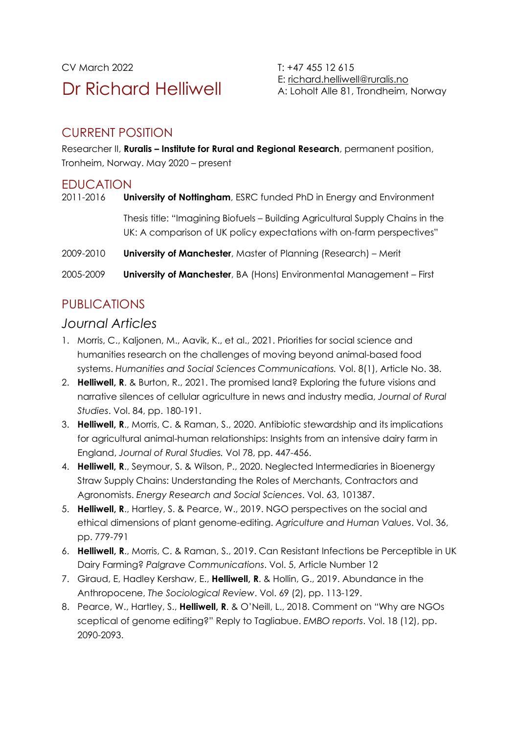CV March 2022 T: +47 455 12 615 Dr Richard Helliwell

E: [richard.helliwell@ruralis.no](mailto:richard.helliwell@ruralis.no) A: Loholt Alle 81, Trondheim, Norway

#### CURRENT POSITION

Researcher II, **Ruralis – Institute for Rural and Regional Research**, permanent position, Tronheim, Norway. May 2020 – present

#### **EDUCATION**

2011-2016 **University of Nottingham**, ESRC funded PhD in Energy and Environment Thesis title: "Imagining Biofuels – Building Agricultural Supply Chains in the UK: A comparison of UK policy expectations with on-farm perspectives" 2009-2010 **University of Manchester**, Master of Planning (Research) – Merit

2005-2009 **University of Manchester**, BA (Hons) Environmental Management – First

# PUBLICATIONS

#### *Journal Articles*

- 1. Morris, C., Kaljonen, M., Aavik, K., et al., 2021. Priorities for social science and humanities research on the challenges of moving beyond animal-based food systems. *Humanities and Social Sciences Communications.* Vol. 8(1), Article No. 38.
- 2. **Helliwell, R**. & Burton, R., 2021. The promised land? Exploring the future visions and narrative silences of cellular agriculture in news and industry media, *Journal of Rural Studies*. Vol. 84, pp. 180-191.
- 3. **Helliwell, R**., Morris, C. & Raman, S., 2020. Antibiotic stewardship and its implications for agricultural animal-human relationships: Insights from an intensive dairy farm in England, *Journal of Rural Studies.* Vol 78, pp. 447-456.
- 4. **Helliwell, R**., Seymour, S. & Wilson, P., 2020. Neglected Intermediaries in Bioenergy Straw Supply Chains: Understanding the Roles of Merchants, Contractors and Agronomists. *Energy Research and Social Sciences*. Vol. 63, 101387.
- 5. **Helliwell, R**., Hartley, S. & Pearce, W., 2019. NGO perspectives on the social and ethical dimensions of plant genome-editing. *Agriculture and Human Values*. Vol. 36, pp. 779-791
- 6. **Helliwell, R**., Morris, C. & Raman, S., 2019. Can Resistant Infections be Perceptible in UK Dairy Farming? *Palgrave Communications*. Vol. 5, Article Number 12
- 7. Giraud, E, Hadley Kershaw, E., **Helliwell, R**. & Hollin, G., 2019. Abundance in the Anthropocene, *The Sociological Review*. Vol. 69 (2), pp. 113-129.
- 8. Pearce, W., Hartley, S., **Helliwell, R**. & O'Neill, L., 2018. Comment on "Why are NGOs sceptical of genome editing?" Reply to Tagliabue. *EMBO reports*. Vol. 18 (12), pp. 2090-2093.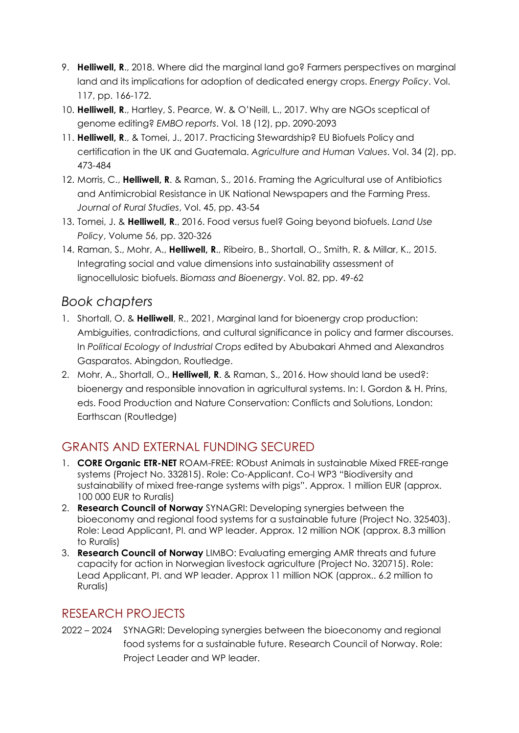- 9. **Helliwell, R**., 2018. Where did the marginal land go? Farmers perspectives on marginal land and its implications for adoption of dedicated energy crops. *Energy Policy*. Vol. 117, pp. 166-172.
- 10. **Helliwell, R**., Hartley, S. Pearce, W. & O'Neill, L., 2017. Why are NGOs sceptical of genome editing? *EMBO reports*. Vol. 18 (12), pp. 2090-2093
- 11. **Helliwell, R**., & Tomei, J., 2017. Practicing Stewardship? EU Biofuels Policy and certification in the UK and Guatemala. *Agriculture and Human Values*. Vol. 34 (2), pp. 473-484
- 12. Morris, C., **Helliwell, R**. & Raman, S., 2016. Framing the Agricultural use of Antibiotics and Antimicrobial Resistance in UK National Newspapers and the Farming Press. *Journal of Rural Studies*, Vol. 45, pp. 43-54
- 13. Tomei, J. & **Helliwell, R**., 2016. Food versus fuel? Going beyond biofuels. *Land Use Policy*, Volume 56, pp. 320-326
- 14. Raman, S., Mohr, A., **Helliwell, R**., Ribeiro, B., Shortall, O., Smith, R. & Millar, K., 2015. Integrating social and value dimensions into sustainability assessment of lignocellulosic biofuels. *Biomass and Bioenergy*. Vol. 82, pp. 49-62

# *Book chapters*

- 1. Shortall, O. & **Helliwell**, R., 2021, Marginal land for bioenergy crop production: Ambiguities, contradictions, and cultural significance in policy and farmer discourses. In *Political Ecology of Industrial Crops* edited by Abubakari Ahmed and Alexandros Gasparatos. Abingdon, Routledge.
- 2. Mohr, A., Shortall, O., **Helliwell, R**. & Raman, S., 2016. How should land be used?: bioenergy and responsible innovation in agricultural systems. In: I. Gordon & H. Prins, eds. Food Production and Nature Conservation: Conflicts and Solutions, London: Earthscan (Routledge)

# GRANTS AND EXTERNAL FUNDING SECURED

- 1. **CORE Organic ETR-NET** ROAM-FREE: RObust Animals in sustainable Mixed FREE-range systems (Project No. 332815). Role: Co-Applicant. Co-I WP3 "Biodiversity and sustainability of mixed free-range systems with pigs". Approx. 1 million EUR (approx. 100 000 EUR to Ruralis)
- 2. **Research Council of Norway** SYNAGRI: Developing synergies between the bioeconomy and regional food systems for a sustainable future (Project No. 325403). Role: Lead Applicant, PI. and WP leader. Approx. 12 million NOK (approx. 8.3 million to Ruralis)
- 3. **Research Council of Norway** LIMBO: Evaluating emerging AMR threats and future capacity for action in Norwegian livestock agriculture (Project No. 320715). Role: Lead Applicant, PI. and WP leader. Approx 11 million NOK (approx.. 6.2 million to Ruralis)

### RESEARCH PROJECTS

2022 – 2024 SYNAGRI: Developing synergies between the bioeconomy and regional food systems for a sustainable future. Research Council of Norway. Role: Project Leader and WP leader.